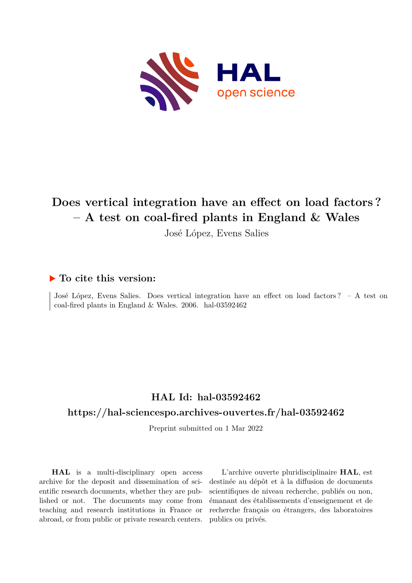

# **Does vertical integration have an effect on load factors ? – A test on coal-fired plants in England & Wales**

José López, Evens Salies

#### **To cite this version:**

José López, Evens Salies. Does vertical integration have an effect on load factors ? – A test on coal-fired plants in England & Wales. 2006. hal-03592462

#### **HAL Id: hal-03592462**

#### **<https://hal-sciencespo.archives-ouvertes.fr/hal-03592462>**

Preprint submitted on 1 Mar 2022

**HAL** is a multi-disciplinary open access archive for the deposit and dissemination of scientific research documents, whether they are published or not. The documents may come from teaching and research institutions in France or abroad, or from public or private research centers.

L'archive ouverte pluridisciplinaire **HAL**, est destinée au dépôt et à la diffusion de documents scientifiques de niveau recherche, publiés ou non, émanant des établissements d'enseignement et de recherche français ou étrangers, des laboratoires publics ou privés.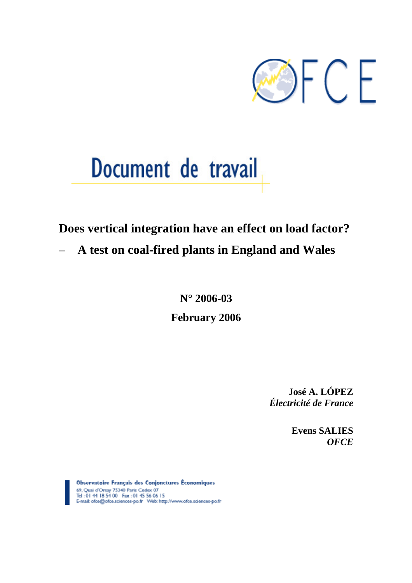

# Document de travail

## **Does vertical integration have an effect on load factor?**

– **A test on coal-fired plants in England and Wales** 

**N° 2006-03** 

**February 2006** 

**José A. LÓPEZ**  *Électricité de France* 

> **Evens SALIES**  *OFCE*

Observatoire Français des Conjonctures Économiques 69. Quai d'Orsay 75340 Paris Cedex 07 Tel: 01 44 18 54 00 Fax: 01 45 56 06 15<br>E-mail: ofce@ofce.sciences-po.fr Web: http://www.ofce.sciences-po.fr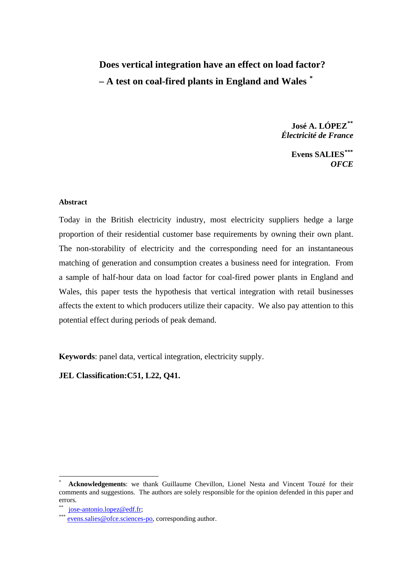## **Does vertical integration have an effect on load factor? – A test on coal-fired plants in England and Wales [\\*](#page-2-0)**

**José A. LÓPEZ[\\*\\*](#page-2-1)** *Électricité de France* 

> **Evens SALIES[\\*\\*\\*](#page-2-2)** *OFCE*

#### **Abstract**

Today in the British electricity industry, most electricity suppliers hedge a large proportion of their residential customer base requirements by owning their own plant. The non-storability of electricity and the corresponding need for an instantaneous matching of generation and consumption creates a business need for integration. From a sample of half-hour data on load factor for coal-fired power plants in England and Wales, this paper tests the hypothesis that vertical integration with retail businesses affects the extent to which producers utilize their capacity. We also pay attention to this potential effect during periods of peak demand.

**Keywords**: panel data, vertical integration, electricity supply.

**JEL Classification:C51, L22, Q41.** 

 $\overline{a}$ 

<span id="page-2-0"></span><sup>\*</sup> **Acknowledgements**: we thank Guillaume Chevillon, Lionel Nesta and Vincent Touzé for their comments and suggestions. The authors are solely responsible for the opinion defended in this paper and errors.

<span id="page-2-2"></span><span id="page-2-1"></span>

 ${\rm jose-antonio.}$ lopez@edf.fr; [evens.salies@ofce.sciences-po](mailto:evens.salies@ofce.sciences-po), corresponding author.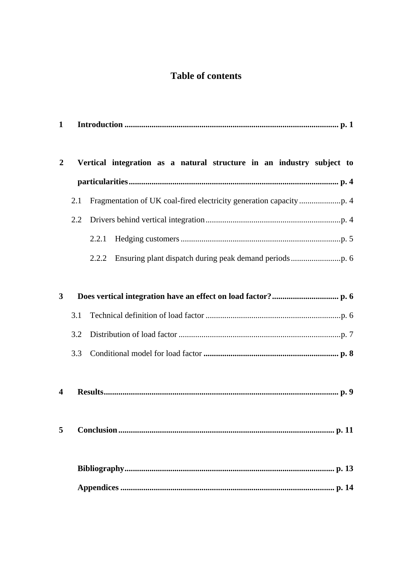## **Table of contents**

| 1                       |                            |                                                                       |  |  |  |  |  |  |  |
|-------------------------|----------------------------|-----------------------------------------------------------------------|--|--|--|--|--|--|--|
|                         |                            |                                                                       |  |  |  |  |  |  |  |
| $\boldsymbol{2}$        |                            | Vertical integration as a natural structure in an industry subject to |  |  |  |  |  |  |  |
|                         |                            |                                                                       |  |  |  |  |  |  |  |
|                         | 2.1                        |                                                                       |  |  |  |  |  |  |  |
|                         | 2.2                        |                                                                       |  |  |  |  |  |  |  |
|                         |                            | 2.2.1                                                                 |  |  |  |  |  |  |  |
|                         |                            | 2.2.2                                                                 |  |  |  |  |  |  |  |
|                         |                            |                                                                       |  |  |  |  |  |  |  |
| 3                       |                            |                                                                       |  |  |  |  |  |  |  |
|                         | 3.1                        |                                                                       |  |  |  |  |  |  |  |
|                         | 3.2                        |                                                                       |  |  |  |  |  |  |  |
|                         | 3.3                        |                                                                       |  |  |  |  |  |  |  |
|                         |                            |                                                                       |  |  |  |  |  |  |  |
| $\overline{\mathbf{4}}$ |                            |                                                                       |  |  |  |  |  |  |  |
|                         |                            |                                                                       |  |  |  |  |  |  |  |
|                         | <b>Conclusion</b><br>p. 11 |                                                                       |  |  |  |  |  |  |  |
|                         |                            |                                                                       |  |  |  |  |  |  |  |
|                         |                            |                                                                       |  |  |  |  |  |  |  |
|                         |                            |                                                                       |  |  |  |  |  |  |  |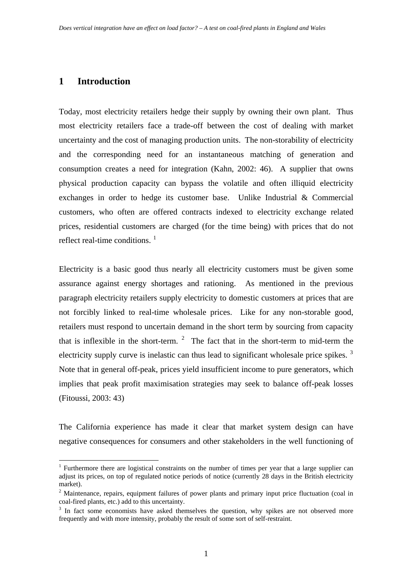#### **1 Introduction**

 $\overline{a}$ 

Today, most electricity retailers hedge their supply by owning their own plant. Thus most electricity retailers face a trade-off between the cost of dealing with market uncertainty and the cost of managing production units. The non-storability of electricity and the corresponding need for an instantaneous matching of generation and consumption creates a need for integration (Kahn, 2002: 46). A supplier that owns physical production capacity can bypass the volatile and often illiquid electricity exchanges in order to hedge its customer base. Unlike Industrial & Commercial customers, who often are offered contracts indexed to electricity exchange related prices, residential customers are charged (for the time being) with prices that do not reflect real-time conditions.  $<sup>1</sup>$  $<sup>1</sup>$  $<sup>1</sup>$ </sup>

Electricity is a basic good thus nearly all electricity customers must be given some assurance against energy shortages and rationing. As mentioned in the previous paragraph electricity retailers supply electricity to domestic customers at prices that are not forcibly linked to real-time wholesale prices. Like for any non-storable good, retailers must respond to uncertain demand in the short term by sourcing from capacity that is inflexible in the short-term.  $2$  The fact that in the short-term to mid-term the electricity supply curve is inelastic can thus lead to significant wholesale price spikes.<sup>[3](#page-5-2)</sup> Note that in general off-peak, prices yield insufficient income to pure generators, which implies that peak profit maximisation strategies may seek to balance off-peak losses (Fitoussi, 2003: 43)

The California experience has made it clear that market system design can have negative consequences for consumers and other stakeholders in the well functioning of

<span id="page-5-0"></span><sup>&</sup>lt;sup>1</sup> Furthermore there are logistical constraints on the number of times per year that a large supplier can adjust its prices, on top of regulated notice periods of notice (currently 28 days in the British electricity market).

<span id="page-5-1"></span><sup>&</sup>lt;sup>2</sup> Maintenance, repairs, equipment failures of power plants and primary input price fluctuation (coal in coal-fired plants, etc.) add to this uncertainty.

<span id="page-5-2"></span> $3$  In fact some economists have asked themselves the question, why spikes are not observed more frequently and with more intensity, probably the result of some sort of self-restraint.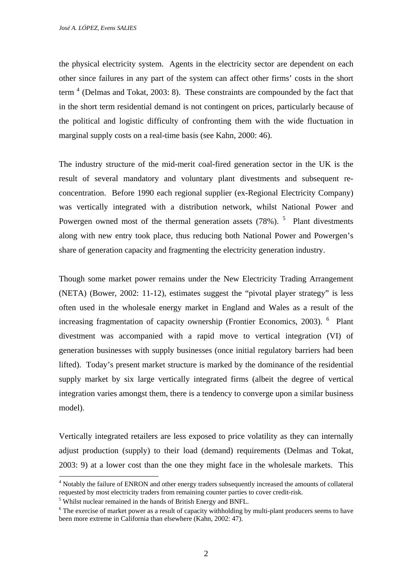the physical electricity system. Agents in the electricity sector are dependent on each other since failures in any part of the system can affect other firms' costs in the short term<sup>[4](#page-6-0)</sup> (Delmas and Tokat, 2003: 8). These constraints are compounded by the fact that in the short term residential demand is not contingent on prices, particularly because of the political and logistic difficulty of confronting them with the wide fluctuation in marginal supply costs on a real-time basis (see Kahn, 2000: 46).

The industry structure of the mid-merit coal-fired generation sector in the UK is the result of several mandatory and voluntary plant divestments and subsequent reconcentration. Before 1990 each regional supplier (ex-Regional Electricity Company) was vertically integrated with a distribution network, whilst National Power and Powergen owned most of the thermal generation assets  $(78%)$ . <sup>[5](#page-6-1)</sup> Plant divestments along with new entry took place, thus reducing both National Power and Powergen's share of generation capacity and fragmenting the electricity generation industry.

Though some market power remains under the New Electricity Trading Arrangement (NETA) (Bower, 2002: 11-12), estimates suggest the "pivotal player strategy" is less often used in the wholesale energy market in England and Wales as a result of the increasing fragmentation of capacity ownership (Frontier Economics, 2003). <sup>[6](#page-6-2)</sup> Plant divestment was accompanied with a rapid move to vertical integration (VI) of generation businesses with supply businesses (once initial regulatory barriers had been lifted). Today's present market structure is marked by the dominance of the residential supply market by six large vertically integrated firms (albeit the degree of vertical integration varies amongst them, there is a tendency to converge upon a similar business model).

Vertically integrated retailers are less exposed to price volatility as they can internally adjust production (supply) to their load (demand) requirements (Delmas and Tokat, 2003: 9) at a lower cost than the one they might face in the wholesale markets. This

 $\overline{a}$ 

<span id="page-6-0"></span><sup>&</sup>lt;sup>4</sup> Notably the failure of ENRON and other energy traders subsequently increased the amounts of collateral requested by most electricity traders from remaining counter parties to cover credit-risk. 5

<span id="page-6-1"></span><sup>&</sup>lt;sup>5</sup> Whilst nuclear remained in the hands of British Energy and BNFL.

<span id="page-6-2"></span> $6$  The exercise of market power as a result of capacity withholding by multi-plant producers seems to have been more extreme in California than elsewhere (Kahn, 2002: 47).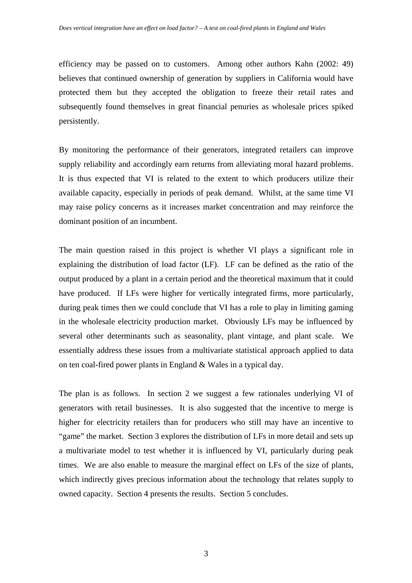efficiency may be passed on to customers. Among other authors Kahn (2002: 49) believes that continued ownership of generation by suppliers in California would have protected them but they accepted the obligation to freeze their retail rates and subsequently found themselves in great financial penuries as wholesale prices spiked persistently.

By monitoring the performance of their generators, integrated retailers can improve supply reliability and accordingly earn returns from alleviating moral hazard problems. It is thus expected that VI is related to the extent to which producers utilize their available capacity, especially in periods of peak demand. Whilst, at the same time VI may raise policy concerns as it increases market concentration and may reinforce the dominant position of an incumbent.

The main question raised in this project is whether VI plays a significant role in explaining the distribution of load factor (LF). LF can be defined as the ratio of the output produced by a plant in a certain period and the theoretical maximum that it could have produced. If LFs were higher for vertically integrated firms, more particularly, during peak times then we could conclude that VI has a role to play in limiting gaming in the wholesale electricity production market. Obviously LFs may be influenced by several other determinants such as seasonality, plant vintage, and plant scale. We essentially address these issues from a multivariate statistical approach applied to data on ten coal-fired power plants in England & Wales in a typical day.

The plan is as follows. In section 2 we suggest a few rationales underlying VI of generators with retail businesses. It is also suggested that the incentive to merge is higher for electricity retailers than for producers who still may have an incentive to "game" the market. Section 3 explores the distribution of LFs in more detail and sets up a multivariate model to test whether it is influenced by VI, particularly during peak times. We are also enable to measure the marginal effect on LFs of the size of plants, which indirectly gives precious information about the technology that relates supply to owned capacity. Section 4 presents the results. Section 5 concludes.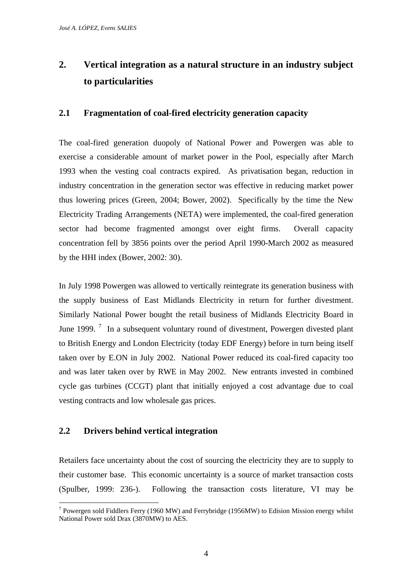## **2. Vertical integration as a natural structure in an industry subject to particularities**

#### **2.1 Fragmentation of coal-fired electricity generation capacity**

The coal-fired generation duopoly of National Power and Powergen was able to exercise a considerable amount of market power in the Pool, especially after March 1993 when the vesting coal contracts expired. As privatisation began, reduction in industry concentration in the generation sector was effective in reducing market power thus lowering prices (Green, 2004; Bower, 2002). Specifically by the time the New Electricity Trading Arrangements (NETA) were implemented, the coal-fired generation sector had become fragmented amongst over eight firms. Overall capacity concentration fell by 3856 points over the period April 1990-March 2002 as measured by the HHI index (Bower, 2002: 30).

In July 1998 Powergen was allowed to vertically reintegrate its generation business with the supply business of East Midlands Electricity in return for further divestment. Similarly National Power bought the retail business of Midlands Electricity Board in June 1999.<sup>[7](#page-8-0)</sup> In a subsequent voluntary round of divestment, Powergen divested plant to British Energy and London Electricity (today EDF Energy) before in turn being itself taken over by E.ON in July 2002. National Power reduced its coal-fired capacity too and was later taken over by RWE in May 2002. New entrants invested in combined cycle gas turbines (CCGT) plant that initially enjoyed a cost advantage due to coal vesting contracts and low wholesale gas prices.

#### **2.2 Drivers behind vertical integration**

Retailers face uncertainty about the cost of sourcing the electricity they are to supply to their customer base. This economic uncertainty is a source of market transaction costs (Spulber, 1999: 236-). Following the transaction costs literature, VI may be

<span id="page-8-0"></span> $\overline{a}$ <sup>7</sup> Powergen sold Fiddlers Ferry (1960 MW) and Ferrybridge (1956MW) to Edision Mission energy whilst National Power sold Drax (3870MW) to AES.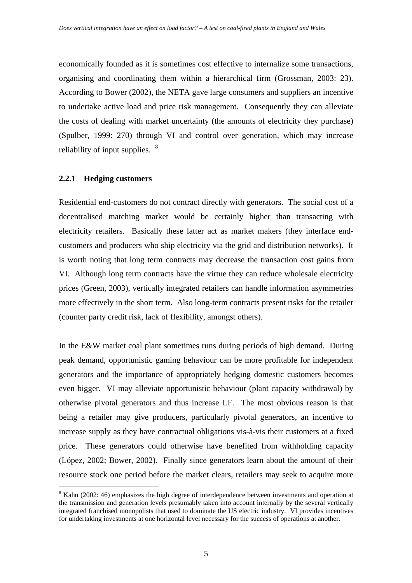economically founded as it is sometimes cost effective to internalize some transactions, organising and coordinating them within a hierarchical firm (Grossman, 2003: 23). According to Bower (2002), the NETA gave large consumers and suppliers an incentive to undertake active load and price risk management. Consequently they can alleviate the costs of dealing with market uncertainty (the amounts of electricity they purchase) (Spulber, 1999: 270) through VI and control over generation, which may increase reliability of input supplies.  $8^8$  $8^8$ 

#### **2.2.1 Hedging customers**

 $\overline{a}$ 

Residential end-customers do not contract directly with generators. The social cost of a decentralised matching market would be certainly higher than transacting with electricity retailers. Basically these latter act as market makers (they interface endcustomers and producers who ship electricity via the grid and distribution networks). It is worth noting that long term contracts may decrease the transaction cost gains from VI. Although long term contracts have the virtue they can reduce wholesale electricity prices (Green, 2003), vertically integrated retailers can handle information asymmetries more effectively in the short term. Also long-term contracts present risks for the retailer (counter party credit risk, lack of flexibility, amongst others).

In the E&W market coal plant sometimes runs during periods of high demand. During peak demand, opportunistic gaming behaviour can be more profitable for independent generators and the importance of appropriately hedging domestic customers becomes even bigger. VI may alleviate opportunistic behaviour (plant capacity withdrawal) by otherwise pivotal generators and thus increase LF. The most obvious reason is that being a retailer may give producers, particularly pivotal generators, an incentive to increase supply as they have contractual obligations vis-à-vis their customers at a fixed price. These generators could otherwise have benefited from withholding capacity (López, 2002; Bower, 2002). Finally since generators learn about the amount of their resource stock one period before the market clears, retailers may seek to acquire more

<span id="page-9-0"></span><sup>&</sup>lt;sup>8</sup> Kahn (2002: 46) emphasizes the high degree of interdependence between investments and operation at the transmission and generation levels presumably taken into account internally by the several vertically integrated franchised monopolists that used to dominate the US electric industry. VI provides incentives for undertaking investments at one horizontal level necessary for the success of operations at another.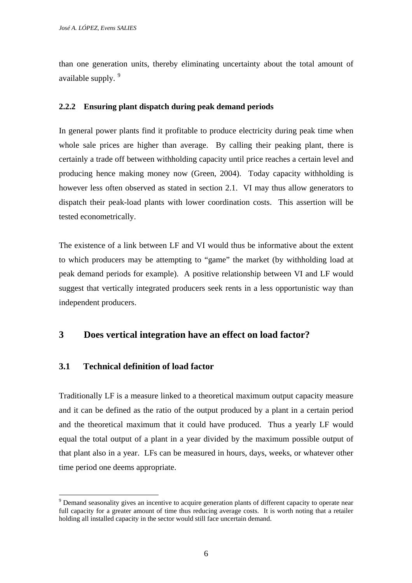than one generation units, thereby eliminating uncertainty about the total amount of available supply. <sup>[9](#page-10-0)</sup>

#### **2.2.2 Ensuring plant dispatch during peak demand periods**

In general power plants find it profitable to produce electricity during peak time when whole sale prices are higher than average. By calling their peaking plant, there is certainly a trade off between withholding capacity until price reaches a certain level and producing hence making money now (Green, 2004). Today capacity withholding is however less often observed as stated in section 2.1. VI may thus allow generators to dispatch their peak-load plants with lower coordination costs. This assertion will be tested econometrically.

The existence of a link between LF and VI would thus be informative about the extent to which producers may be attempting to "game" the market (by withholding load at peak demand periods for example). A positive relationship between VI and LF would suggest that vertically integrated producers seek rents in a less opportunistic way than independent producers.

#### **3 Does vertical integration have an effect on load factor?**

#### **3.1 Technical definition of load factor**

 $\overline{a}$ 

Traditionally LF is a measure linked to a theoretical maximum output capacity measure and it can be defined as the ratio of the output produced by a plant in a certain period and the theoretical maximum that it could have produced. Thus a yearly LF would equal the total output of a plant in a year divided by the maximum possible output of that plant also in a year. LFs can be measured in hours, days, weeks, or whatever other time period one deems appropriate.

<span id="page-10-0"></span><sup>&</sup>lt;sup>9</sup> Demand seasonality gives an incentive to acquire generation plants of different capacity to operate near full capacity for a greater amount of time thus reducing average costs. It is worth noting that a retailer holding all installed capacity in the sector would still face uncertain demand.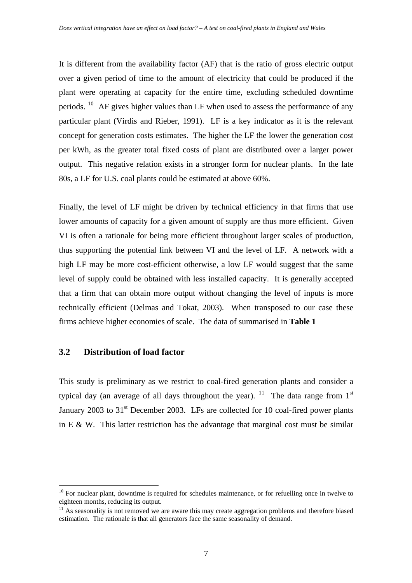It is different from the availability factor (AF) that is the ratio of gross electric output over a given period of time to the amount of electricity that could be produced if the plant were operating at capacity for the entire time, excluding scheduled downtime periods. <sup>[10](#page-11-0)</sup> AF gives higher values than LF when used to assess the performance of any particular plant (Virdis and Rieber, 1991). LF is a key indicator as it is the relevant concept for generation costs estimates. The higher the LF the lower the generation cost per kWh, as the greater total fixed costs of plant are distributed over a larger power output. This negative relation exists in a stronger form for nuclear plants. In the late 80s, a LF for U.S. coal plants could be estimated at above 60%.

Finally, the level of LF might be driven by technical efficiency in that firms that use lower amounts of capacity for a given amount of supply are thus more efficient. Given VI is often a rationale for being more efficient throughout larger scales of production, thus supporting the potential link between VI and the level of LF. A network with a high LF may be more cost-efficient otherwise, a low LF would suggest that the same level of supply could be obtained with less installed capacity. It is generally accepted that a firm that can obtain more output without changing the level of inputs is more technically efficient (Delmas and Tokat, 2003). When transposed to our case these firms achieve higher economies of scale. The data of summarised in **Table 1**

#### **3.2 Distribution of load factor**

 $\overline{a}$ 

This study is preliminary as we restrict to coal-fired generation plants and consider a typical day (an average of all days throughout the year). <sup>[11](#page-11-1)</sup> The data range from 1<sup>st</sup> January 2003 to  $31<sup>st</sup>$  December 2003. LFs are collected for 10 coal-fired power plants in E & W. This latter restriction has the advantage that marginal cost must be similar

<span id="page-11-0"></span> $10$  For nuclear plant, downtime is required for schedules maintenance, or for refuelling once in twelve to eighteen months, reducing its output.

<span id="page-11-1"></span> $11$  As seasonality is not removed we are aware this may create aggregation problems and therefore biased estimation. The rationale is that all generators face the same seasonality of demand.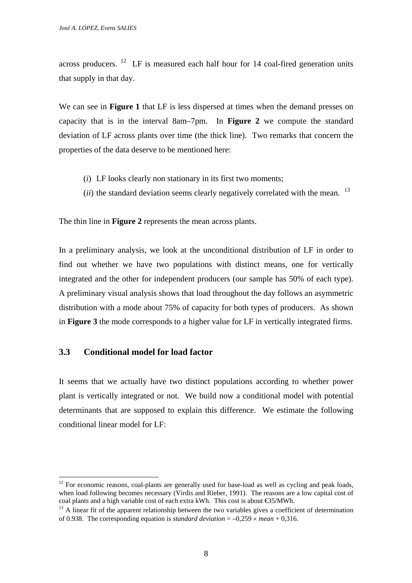across producers. <sup>[12](#page-12-0)</sup> LF is measured each half hour for 14 coal-fired generation units that supply in that day.

We can see in **Figure 1** that LF is less dispersed at times when the demand presses on capacity that is in the interval 8am–7pm. In **Figure 2** we compute the standard deviation of LF across plants over time (the thick line). Two remarks that concern the properties of the data deserve to be mentioned here:

- (*i*) LF looks clearly non stationary in its first two moments;
- (*ii*) the standard deviation seems clearly negatively correlated with the mean. <sup>13</sup>

The thin line in **Figure 2** represents the mean across plants.

In a preliminary analysis, we look at the unconditional distribution of LF in order to find out whether we have two populations with distinct means, one for vertically integrated and the other for independent producers (our sample has 50% of each type). A preliminary visual analysis shows that load throughout the day follows an asymmetric distribution with a mode about 75% of capacity for both types of producers. As shown in **Figure 3** the mode corresponds to a higher value for LF in vertically integrated firms.

#### **3.3 Conditional model for load factor**

 $\overline{a}$ 

It seems that we actually have two distinct populations according to whether power plant is vertically integrated or not. We build now a conditional model with potential determinants that are supposed to explain this difference. We estimate the following conditional linear model for LF:

<span id="page-12-0"></span> $12$  For economic reasons, coal-plants are generally used for base-load as well as cycling and peak loads, when load following becomes necessary (Virdis and Rieber, 1991). The reasons are a low capital cost of coal plants and a high variable cost of each extra kWh. This cost is about  $\mathfrak{S}5/MWh$ .<br><sup>13</sup> A linear fit of the apparent relationship between the two variables gives a coefficient of determination

<span id="page-12-1"></span>of 0.938. The corresponding equation is *standard deviation*  $= -0.259 \times mean + 0.316$ .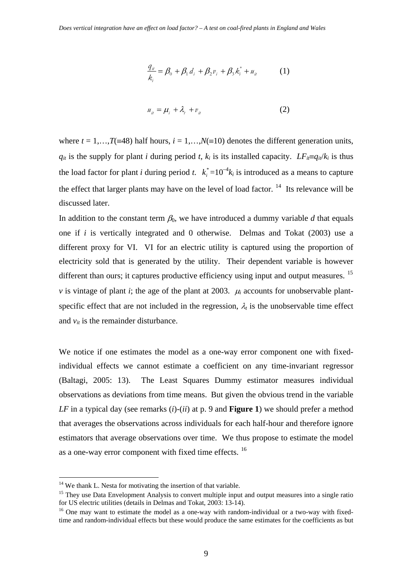$$
\frac{q_{ii}}{k_i} = \beta_0 + \beta_1 d_i + \beta_2 v_i + \beta_3 k_i^* + u_i \tag{1}
$$

$$
u_{ii} = \mu_i + \lambda_i + v_{ii}
$$
 (2)

where  $t = 1,...,T$ (≡48) half hours,  $i = 1,...,N$ (≡10) denotes the different generation units,  $q_{it}$  is the supply for plant *i* during period *t*,  $k_i$  is its installed capacity. *LF<sub>it</sub>*≡ $q_{it}/k_i$  is thus the load factor for plant *i* during period *t*.  $k_i^* = 10^{-4}k_i$  is introduced as a means to capture the effect that larger plants may have on the level of load factor.  $14$  Its relevance will be discussed later.

In addition to the constant term  $\beta_0$ , we have introduced a dummy variable *d* that equals one if *i* is vertically integrated and 0 otherwise. Delmas and Tokat (2003) use a different proxy for VI. VI for an electric utility is captured using the proportion of electricity sold that is generated by the utility. Their dependent variable is however different than ours; it captures productive efficiency using input and output measures. <sup>[15](#page-13-1)</sup> *v* is vintage of plant *i*; the age of the plant at 2003.  $\mu_i$  accounts for unobservable plantspecific effect that are not included in the regression,  $\lambda_t$  is the unobservable time effect and  $v_{it}$  is the remainder disturbance.

We notice if one estimates the model as a one-way error component one with fixedindividual effects we cannot estimate a coefficient on any time-invariant regressor (Baltagi, 2005: 13). The Least Squares Dummy estimator measures individual observations as deviations from time means. But given the obvious trend in the variable *LF* in a typical day (see remarks (*i*)-(*ii*) at p. 9 and **Figure 1**) we should prefer a method that averages the observations across individuals for each half-hour and therefore ignore estimators that average observations over time. We thus propose to estimate the model as a one-way error component with fixed time effects.  $16$ 

 $\overline{a}$ 

<span id="page-13-0"></span><sup>&</sup>lt;sup>14</sup> We thank L. Nesta for motivating the insertion of that variable.

<span id="page-13-1"></span><sup>&</sup>lt;sup>15</sup> They use Data Envelopment Analysis to convert multiple input and output measures into a single ratio for US electric utilities (details in Delmas and Tokat, 2003: 13-14).

<span id="page-13-2"></span> $16$  One may want to estimate the model as a one-way with random-individual or a two-way with fixedtime and random-individual effects but these would produce the same estimates for the coefficients as but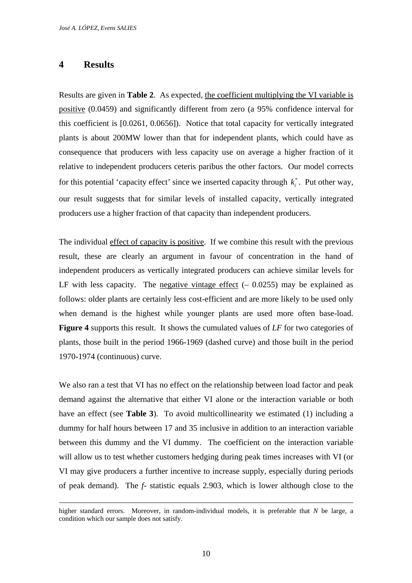#### **4 Results**

Results are given in **Table 2**. As expected, the coefficient multiplying the VI variable is positive (0.0459) and significantly different from zero (a 95% confidence interval for this coefficient is [0.0261, 0.0656]). Notice that total capacity for vertically integrated plants is about 200MW lower than that for independent plants, which could have as consequence that producers with less capacity use on average a higher fraction of it relative to independent producers ceteris paribus the other factors. Our model corrects for this potential 'capacity effect' since we inserted capacity through  $k_i^*$ . Put other way, our result suggests that for similar levels of installed capacity, vertically integrated producers use a higher fraction of that capacity than independent producers.

The individual effect of capacity is positive. If we combine this result with the previous result, these are clearly an argument in favour of concentration in the hand of independent producers as vertically integrated producers can achieve similar levels for LF with less capacity. The negative vintage effect  $(-0.0255)$  may be explained as follows: older plants are certainly less cost-efficient and are more likely to be used only when demand is the highest while younger plants are used more often base-load. **Figure 4** supports this result. It shows the cumulated values of *LF* for two categories of plants, those built in the period 1966-1969 (dashed curve) and those built in the period 1970-1974 (continuous) curve.

We also ran a test that VI has no effect on the relationship between load factor and peak demand against the alternative that either VI alone or the interaction variable or both have an effect (see **Table 3**). To avoid multicollinearity we estimated (1) including a dummy for half hours between 17 and 35 inclusive in addition to an interaction variable between this dummy and the VI dummy. The coefficient on the interaction variable will allow us to test whether customers hedging during peak times increases with VI (or VI may give producers a further incentive to increase supply, especially during periods of peak demand). The *f*- statistic equals 2.903, which is lower although close to the

higher standard errors. Moreover, in random-individual models, it is preferable that *N* be large, a condition which our sample does not satisfy.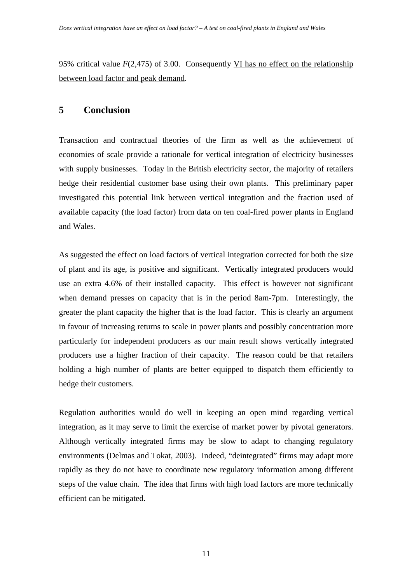95% critical value *F*(2,475) of 3.00. Consequently VI has no effect on the relationship between load factor and peak demand.

#### **5 Conclusion**

Transaction and contractual theories of the firm as well as the achievement of economies of scale provide a rationale for vertical integration of electricity businesses with supply businesses. Today in the British electricity sector, the majority of retailers hedge their residential customer base using their own plants. This preliminary paper investigated this potential link between vertical integration and the fraction used of available capacity (the load factor) from data on ten coal-fired power plants in England and Wales.

As suggested the effect on load factors of vertical integration corrected for both the size of plant and its age, is positive and significant. Vertically integrated producers would use an extra 4.6% of their installed capacity. This effect is however not significant when demand presses on capacity that is in the period 8am-7pm. Interestingly, the greater the plant capacity the higher that is the load factor. This is clearly an argument in favour of increasing returns to scale in power plants and possibly concentration more particularly for independent producers as our main result shows vertically integrated producers use a higher fraction of their capacity. The reason could be that retailers holding a high number of plants are better equipped to dispatch them efficiently to hedge their customers.

Regulation authorities would do well in keeping an open mind regarding vertical integration, as it may serve to limit the exercise of market power by pivotal generators. Although vertically integrated firms may be slow to adapt to changing regulatory environments (Delmas and Tokat, 2003). Indeed, "deintegrated" firms may adapt more rapidly as they do not have to coordinate new regulatory information among different steps of the value chain. The idea that firms with high load factors are more technically efficient can be mitigated.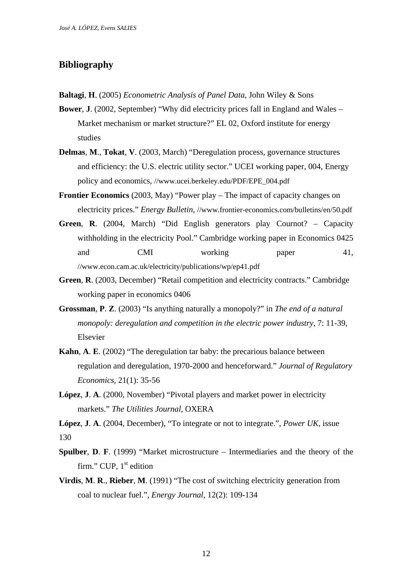#### **Bibliography**

- **Baltagi**, **H**. (2005) *Econometric Analysis of Panel Data*, John Wiley & Sons
- **Bower**, **J**. (2002, September) "Why did electricity prices fall in England and Wales Market mechanism or market structure?" EL 02, Oxford institute for energy studies
- **Delmas**, **M**., **Tokat**, **V**. (2003, March) "Deregulation process, governance structures and efficiency: the U.S. electric utility sector." UCEI working paper, 004, Energy policy and economics, //www.ucei.berkeley.edu/PDF/EPE\_004.pdf
- **Frontier Economics** (2003, May) "Power play The impact of capacity changes on electricity prices." *Energy Bulletin*, //www.frontier-economics.com/bulletins/en/50.pdf
- **Green**, **R**. (2004, March) "Did English generators play Cournot? Capacity withholding in the electricity Pool." Cambridge working paper in Economics 0425 and CMI working paper 41, //www.econ.cam.ac.uk/electricity/publications/wp/ep41.pdf
- **Green**, **R**. (2003, December) "Retail competition and electricity contracts." Cambridge working paper in economics 0406
- **Grossman**, **P**. **Z**. (2003) "Is anything naturally a monopoly?" in *The end of a natural monopoly: deregulation and competition in the electric power industry*, 7: 11-39, Elsevier
- **Kahn**, **A**. **E**. (2002) "The deregulation tar baby: the precarious balance between regulation and deregulation, 1970-2000 and henceforward." *Journal of Regulatory Economics*, 21(1): 35-56
- **López**, **J**. **A**. (2000, November) "Pivotal players and market power in electricity markets." *The Utilities Journal*, OXERA

**López**, **J**. **A**. (2004, December), "To integrate or not to integrate.", *Power UK*, issue 130

- **Spulber**, **D**. **F**. (1999) "Market microstructure Intermediaries and the theory of the firm." CUP,  $1<sup>st</sup>$  edition
- **Virdis**, **M**. **R**., **Rieber**, **M**. (1991) "The cost of switching electricity generation from coal to nuclear fuel.", *Energy Journal*, 12(2): 109-134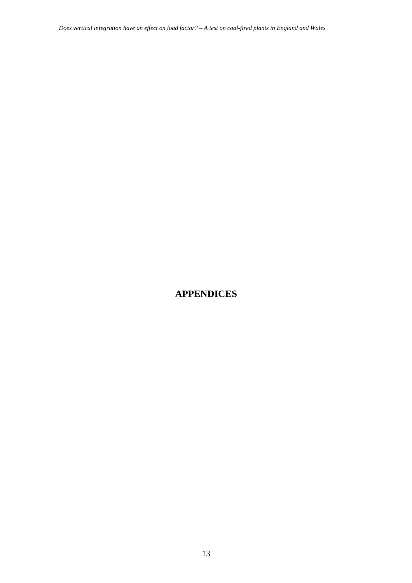*Does vertical integration have an effect on load factor? – A test on coal-fired plants in England and Wales* 

## **APPENDICES**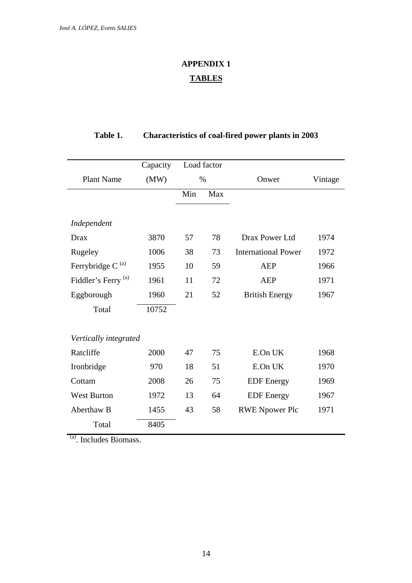## **APPENDIX 1 TABLES**

### **Table 1. Characteristics of coal-fired power plants in 2003**

|                                | Capacity | Load factor |     |                            |         |  |
|--------------------------------|----------|-------------|-----|----------------------------|---------|--|
| <b>Plant Name</b>              | (MW)     | $\%$        |     | Onwer                      | Vintage |  |
|                                |          | Min         | Max |                            |         |  |
|                                |          |             |     |                            |         |  |
| Independent                    |          |             |     |                            |         |  |
| Drax                           | 3870     | 57          | 78  | Drax Power Ltd             | 1974    |  |
| Rugeley                        | 1006     | 38          | 73  | <b>International Power</b> | 1972    |  |
| Ferrybridge C <sup>(a)</sup>   | 1955     | 10          | 59  | <b>AEP</b>                 | 1966    |  |
| Fiddler's Ferry <sup>(a)</sup> | 1961     | 11          | 72  | <b>AEP</b>                 | 1971    |  |
| Eggborough                     | 1960     | 21          | 52  | <b>British Energy</b>      | 1967    |  |
| Total                          | 10752    |             |     |                            |         |  |
|                                |          |             |     |                            |         |  |
| Vertically integrated          |          |             |     |                            |         |  |
| Ratcliffe                      | 2000     | 47          | 75  | E.On UK                    | 1968    |  |
| Ironbridge                     | 970      | 18          | 51  | E.On UK                    | 1970    |  |
| Cottam                         | 2008     | 26          | 75  | <b>EDF</b> Energy          | 1969    |  |
| <b>West Burton</b>             | 1972     | 13          | 64  | <b>EDF</b> Energy          | 1967    |  |
| Aberthaw B                     | 1455     | 43          | 58  | <b>RWE Npower Plc</b>      | 1971    |  |
| Total                          | 8405     |             |     |                            |         |  |

(a). Includes Biomass.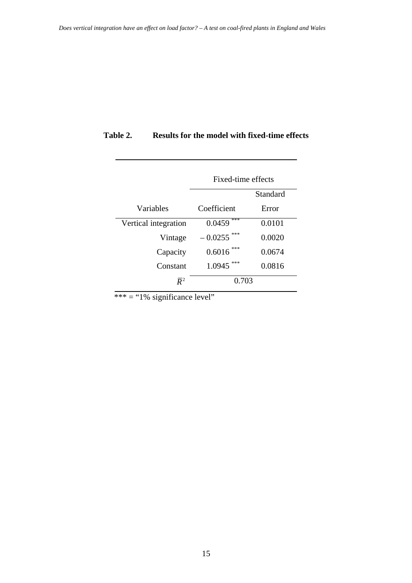|                      | Fixed-time effects |          |  |
|----------------------|--------------------|----------|--|
|                      |                    | Standard |  |
| Variables            | Coefficient        | Error    |  |
| Vertical integration | ***<br>0.0459      | 0.0101   |  |
| Vintage              | $-0.0255$          | 0.0020   |  |
| Capacity             | ***<br>0.6016      | 0.0674   |  |
| Constant             | 1.0945             | 0.0816   |  |
| $\mathbb{R}^2$       | 0.703              |          |  |

#### **Table 2. Results for the model with fixed-time effects**

 $*** =$  "1% significance level"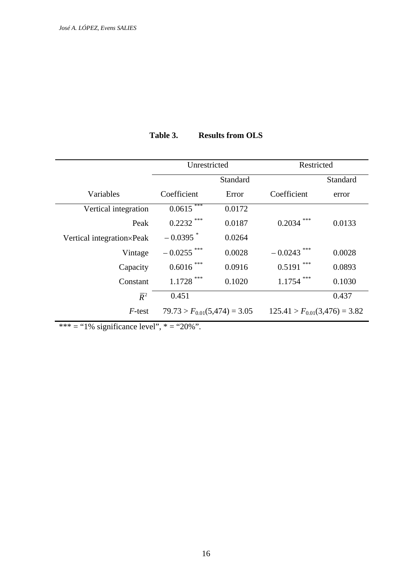|                           | Unrestricted                     |        | Restricted                        |          |
|---------------------------|----------------------------------|--------|-----------------------------------|----------|
|                           | Standard                         |        |                                   | Standard |
| Variables                 | Coefficient                      | Error  | Coefficient                       | error    |
| Vertical integration      | ***<br>0.0615                    | 0.0172 |                                   |          |
| Peak                      | ***<br>0.2232                    | 0.0187 | ***<br>0.2034                     | 0.0133   |
| Vertical integration×Peak | $-0.0395$ <sup>*</sup>           | 0.0264 |                                   |          |
| Vintage                   | $-0.0255$ ***                    | 0.0028 | $-0.0243$                         | 0.0028   |
| Capacity                  | $0.6016$ ***                     | 0.0916 | ***<br>0.5191                     | 0.0893   |
| Constant                  | ***<br>1.1728                    | 0.1020 | ***<br>1.1754                     | 0.1030   |
| $\overline{R}^2$          | 0.451                            |        |                                   | 0.437    |
| F-test                    | $79.73 > F_{0.01}(5,474) = 3.05$ |        | $125.41 > F_{0.01}(3,476) = 3.82$ |          |

**Table 3. Results from OLS** 

\*\*\* = "1% significance level", \* = "20%".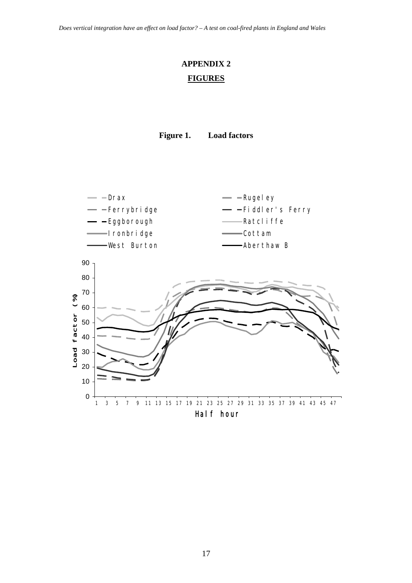## **APPENDIX 2 FIGURES**





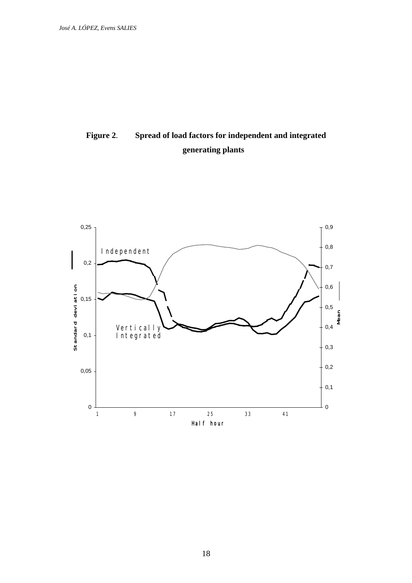## **Figure 2**. **Spread of load factors for independent and integrated generating plants**

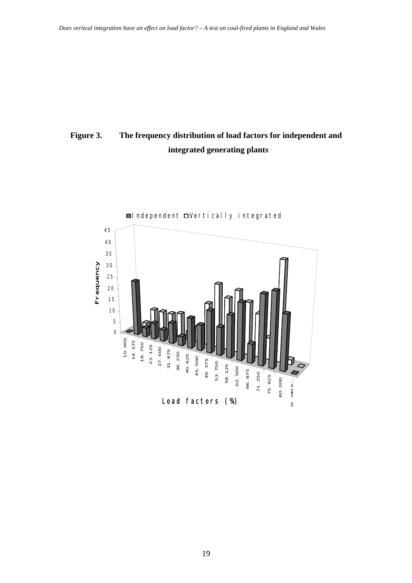## **Figure 3. The frequency distribution of load factors for independent and integrated generating plants**